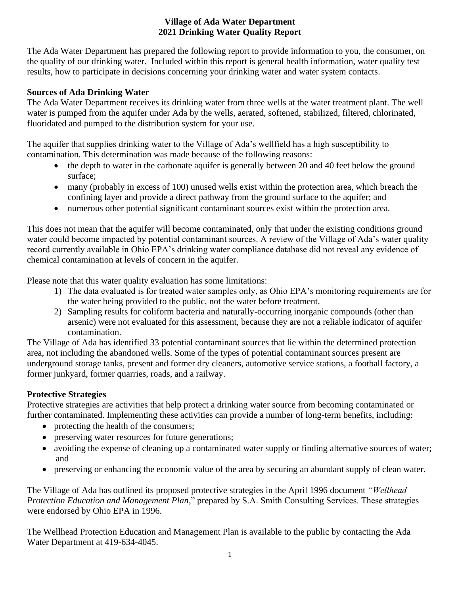The Ada Water Department has prepared the following report to provide information to you, the consumer, on the quality of our drinking water. Included within this report is general health information, water quality test results, how to participate in decisions concerning your drinking water and water system contacts.

## **Sources of Ada Drinking Water**

The Ada Water Department receives its drinking water from three wells at the water treatment plant. The well water is pumped from the aquifer under Ada by the wells, aerated, softened, stabilized, filtered, chlorinated, fluoridated and pumped to the distribution system for your use.

The aquifer that supplies drinking water to the Village of Ada's wellfield has a high susceptibility to contamination. This determination was made because of the following reasons:

- the depth to water in the carbonate aquifer is generally between 20 and 40 feet below the ground surface;
- many (probably in excess of 100) unused wells exist within the protection area, which breach the confining layer and provide a direct pathway from the ground surface to the aquifer; and
- numerous other potential significant contaminant sources exist within the protection area.

This does not mean that the aquifer will become contaminated, only that under the existing conditions ground water could become impacted by potential contaminant sources. A review of the Village of Ada's water quality record currently available in Ohio EPA's drinking water compliance database did not reveal any evidence of chemical contamination at levels of concern in the aquifer.

Please note that this water quality evaluation has some limitations:

- 1) The data evaluated is for treated water samples only, as Ohio EPA's monitoring requirements are for the water being provided to the public, not the water before treatment.
- 2) Sampling results for coliform bacteria and naturally-occurring inorganic compounds (other than arsenic) were not evaluated for this assessment, because they are not a reliable indicator of aquifer contamination.

The Village of Ada has identified 33 potential contaminant sources that lie within the determined protection area, not including the abandoned wells. Some of the types of potential contaminant sources present are underground storage tanks, present and former dry cleaners, automotive service stations, a football factory, a former junkyard, former quarries, roads, and a railway.

## **Protective Strategies**

Protective strategies are activities that help protect a drinking water source from becoming contaminated or further contaminated. Implementing these activities can provide a number of long-term benefits, including:

- protecting the health of the consumers;
- preserving water resources for future generations;
- avoiding the expense of cleaning up a contaminated water supply or finding alternative sources of water; and
- preserving or enhancing the economic value of the area by securing an abundant supply of clean water.

The Village of Ada has outlined its proposed protective strategies in the April 1996 document *"Wellhead Protection Education and Management Plan*," prepared by S.A. Smith Consulting Services. These strategies were endorsed by Ohio EPA in 1996.

The Wellhead Protection Education and Management Plan is available to the public by contacting the Ada Water Department at 419-634-4045.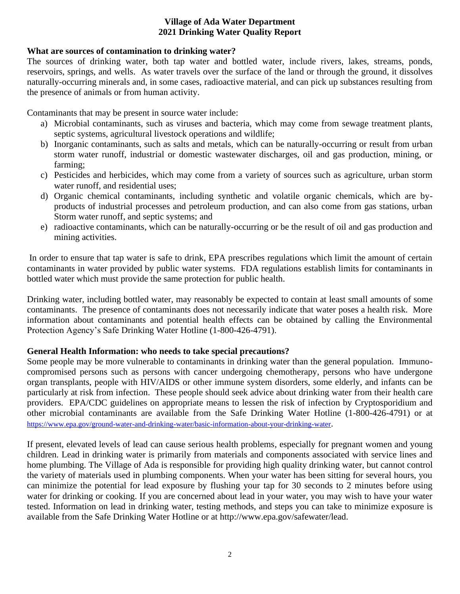### **What are sources of contamination to drinking water?**

The sources of drinking water, both tap water and bottled water, include rivers, lakes, streams, ponds, reservoirs, springs, and wells. As water travels over the surface of the land or through the ground, it dissolves naturally-occurring minerals and, in some cases, radioactive material, and can pick up substances resulting from the presence of animals or from human activity.

Contaminants that may be present in source water include:

- a) Microbial contaminants, such as viruses and bacteria, which may come from sewage treatment plants, septic systems, agricultural livestock operations and wildlife;
- b) Inorganic contaminants, such as salts and metals, which can be naturally-occurring or result from urban storm water runoff, industrial or domestic wastewater discharges, oil and gas production, mining, or farming;
- c) Pesticides and herbicides, which may come from a variety of sources such as agriculture, urban storm water runoff, and residential uses;
- d) Organic chemical contaminants, including synthetic and volatile organic chemicals, which are byproducts of industrial processes and petroleum production, and can also come from gas stations, urban Storm water runoff, and septic systems; and
- e) radioactive contaminants, which can be naturally-occurring or be the result of oil and gas production and mining activities.

In order to ensure that tap water is safe to drink, EPA prescribes regulations which limit the amount of certain contaminants in water provided by public water systems. FDA regulations establish limits for contaminants in bottled water which must provide the same protection for public health.

Drinking water, including bottled water, may reasonably be expected to contain at least small amounts of some contaminants. The presence of contaminants does not necessarily indicate that water poses a health risk. More information about contaminants and potential health effects can be obtained by calling the Environmental Protection Agency's Safe Drinking Water Hotline (1-800-426-4791).

## **General Health Information: who needs to take special precautions?**

Some people may be more vulnerable to contaminants in drinking water than the general population. Immunocompromised persons such as persons with cancer undergoing chemotherapy, persons who have undergone organ transplants, people with HIV/AIDS or other immune system disorders, some elderly, and infants can be particularly at risk from infection. These people should seek advice about drinking water from their health care providers. EPA/CDC guidelines on appropriate means to lessen the risk of infection by Cryptosporidium and other microbial contaminants are available from the Safe Drinking Water Hotline (1-800-426-4791) or at <https://www.epa.gov/ground-water-and-drinking-water/basic-information-about-your-drinking-water>.

If present, elevated levels of lead can cause serious health problems, especially for pregnant women and young children. Lead in drinking water is primarily from materials and components associated with service lines and home plumbing. The Village of Ada is responsible for providing high quality drinking water, but cannot control the variety of materials used in plumbing components. When your water has been sitting for several hours, you can minimize the potential for lead exposure by flushing your tap for 30 seconds to 2 minutes before using water for drinking or cooking. If you are concerned about lead in your water, you may wish to have your water tested. Information on lead in drinking water, testing methods, and steps you can take to minimize exposure is available from the Safe Drinking Water Hotline or at http://www.epa.gov/safewater/lead.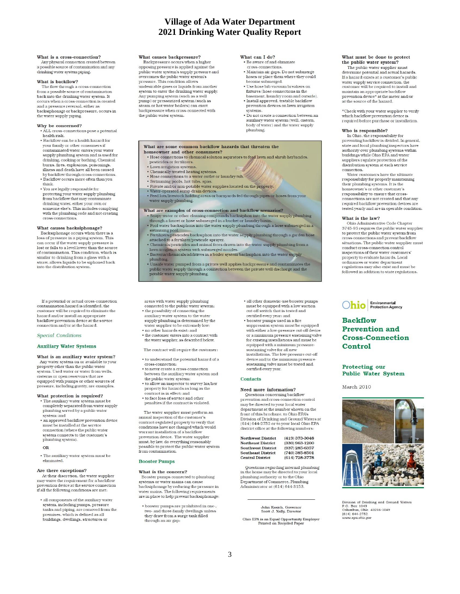### What is a cross-connection?

Any physical connection created between a possible source of contamination and any drinking water system piping.

### What is backflow?

The flow through a cross-connection<br>from a possible source of contamination back into the drinking water system. It<br>occurs when a cross-connection is created and a pressure reversal, either as backsiphonage or backpressure, occurs in the water supply piping.

#### Why be concerned?

- ALL cross-connections pose a potential health risk.
- · Backflow can be a health hazard for vour family or other consumers if .<br>contaminated water enters your water supply plumbing system and is used for drinking, cooking or bathing. Chemical burns, fires, explosions, poisonings, illness and death have all been caused by backflow through cross-connections. . Backflow occurs more often than you
- think. • You are legally responsible for
- protecting your water supply plumbing<br>from backflow that may contaminate drinking water, either your own or<br>someone else's. This includes complying with the plumbing code and not creating cross-connections.

### What causes backsiphonage?

Backsiphonage occurs when there is a<br>loss of pressure in a piping system. This can occur if the water supply pressure is<br>lost or falls to a level lower than the source % of contamination. This condition, which is<br>similar to drinking from a glass with a  $\frac{1}{2}$  straw, allows liquids to be siphoned back into the distribution system.

If a potential or actual cross-connection contamination hazard is identified, the customer will be required to eliminate the  $\label{eq:1} \text{hazard and/or install an appropriate}$  backflow prevention device at the service connection and/or at the hazard.

#### Special Conditions

#### **Auxiliary Water Systems**

What is an auxiliary water system? Any water system on or available to your<br>property other than the public water system. Used water or water from wells cisterns or open reservoirs that are equipped with pumps or other sources of<br>pressure, including gravity, are examples.

### What protection is required?

• The auxiliary water system must be completely separated from water supply plumbing served by a public water system: and

• an approved backflow prevention device must be installed at the service<br>connection (where the public water system connects to the customer's plumbing system).

- OR
- . The auxiliary water system must be eliminated.

#### Are there exceptions?

At their discretion, the water supplier may waive the requirement for a backflow<br>prevention device at the service connection if all the following conditions are met:

· all components of the auxiliary water system, including pumps, pressure tanks and piping, are removed from the premises, which is defined as all buildings, dwellings, structures or

### What causes backpressure?

Backpressure occurs when a higher opposing pressure is applied against the<br>public water system's supply pressure and overcomes the public water system's<br>pressure. This condition allows undesirable gases or liquids from another system to enter the drinking water supply. Any pumping system (such as a well pump) or pressurized system (such as<br>steam or hot water boilers) can exert backpressure when cross-connected with<br>the public water system.

### What can I do?

- Be aware of and eliminate cross-connections
- Maintain air gaps. Do not submerge hoses or place them where they could<br>become submerged.
- · Use hose bib vacuum breakers on fixtures (hose connections in the
- basement, laundry room and outside). • Install approved, testable backflow<br>prevention devices on lawn irrigation .<br>svstems.
- Do not create a connection between an auxiliary water system (well, cistern,<br>body of water) and the water supply plumbing

#### What are some common backflow hazards that threaten the homeowner and other consumers?

- . Hose connections to chemical solution aspirators to feed lawn and shrub herbicides. pesticides or fertilizers.
- Lawn irrigation systems.
- 
- Chemically treated heating systems.<br>• Hose connections to a water outlet or laundry tub.
- Swimming pools, hot tubs, spas.<br>• Private and/or non-potable water supplies located on the property.
- 
- Water-operated sump dra<mark>in devices.</mark><br>• Feed lots/livestock holding areas or barnyards fed through pipes or hoses from your water supply plumbing.
- What are examples of cross-connection and backflow scenarios?
- Soapy water or other cleaning compounds backsiphon into the water supply plumbing through a faucet or hose submerged in a bucket or laundry basin. . Pool water backsiphons into the water supply plumbing through a hose submerged in a
- swimming pool. Pertilizers/pesticides backsiphon into the water supply plumbing through a garden hose attached to a fertilizer/pesticide sprayer. · Fertilizers
- 
- analog of the mixely stated and animal feces drawn into the water supply plumbing from a lawn irrigation system with submerged nozzles.<br>• Bacteria/chemicals/additives in a boiler system backsiphon into the water supply<br>• B
- 
- plumbing. <br>  $\label{lem:main}$  <br> Unsafe water pumped from a private well applies backpressure and contaminates the public water supply through a connection between the private well discharge and the public water-bendwabing

areas with water supply plumbing

- connected to the public water system:<br>• the possibility of connecting the auxiliary water system to the water
- supply plumbing is determined by the water supplier to be extremely low: • no other hazards exist; and
- . the customer enters into a contract with the water supplier, as described below
- The contract will require the customer:
- $\bullet$  to understand the potential hazard of a  $\,$  cross-connection:
- · to never create a cross-connection between the auxiliary water system and the public water system:
- . to allow an inspector to survey his/her<br>property for hazards as long as the contract is in effect; and<br>• to face loss of service and other
- penalties if the contract is violated.

The water supplier must perform an annual inspection of the customer's<br>contract-regulated property to verify that conditions have not changed which would<br>warrant installation of a backflow prevention device. The water supplier<br>must, by law, do everything reasonably possible to protect the public water system from contamination

### **Booster Pumps**

#### What is the concern?

Booster pumps connected to plumbing systems or water mains can cause backsiphonage by reducing the pressure in<br>water mains. The following requirements are in place to help prevent backsiphonage:

 $\bullet$  booster pumps are prohibited in one-, two- and three-family dwellings unless they draw from a surge tank filled through an air gap:

- · all other domestic-use booster pumps must be equipped with a low suction<br>cut-off switch that is tested and certified every year; and
- booster pumps used in a fire suppression system must be equipped with either a low-pressure cut-off device or a minimum pressure sustaining valve for existing installations and must be<br>equipped with a minimum pressuresustaining valve for all new<br>installations. The low-pressure cut-off device and/or the minimum pressure sustaining valve must be tested and certified every year.

#### **Contacts**

#### Need more information?

Questions concerning backflow prevention and cross-connection control may be directed to your local water department at the number shown on the<br>front of this brochure, to Ohio EPA's Division of Drinking and Ground Waters at  $(614) 644-2752$  or to your local Ohio EPA district office at the following numbers:

**Northwest District**  $(419)$  373-3048 **Northeast District** (330) 963-1200 **Southwest District**  $(937) 285 - 6357$ **Southeast District** (740) 385-8501  $(614) 728-3778$ **Central District** 

Questions regarding internal plumbing  $\begin{minipage}{0.9\linewidth} \begin{tabular}{l} \hline \textbf{in the home may be directed to your local} \\ \textbf{plumbing authority or to the Ohio} \end{tabular} \end{minipage}$ Department of Commerce, Plumbing Administrator at (614) 644-3153.

#### John Kasich, Governor Scott J. Nally, Director

Ohio EPA is an Equal Opportunity Employer<br>Printed on Recycled Paper

# What must be done to protect<br>the public water system?

The public water supplier must determine potential and actual hazards. If a hazard exists at a customer's public water supply service connection, the<br>customer will be required to install and<br>maintain an appropriate backflow prevention device\* at the meter and/or<br>at the source of the hazard.

\*Check with your water supplier to verify which backflow prevention device is required before purchase or installation.

#### Who is responsible?

In Ohio, the responsibility for<br>preventing backflow is divided. In general, state and local plumbing inspectors have authority over plumbing systems within<br>buildings while Ohio EPA and water suppliers regulate protection of the<br>distribution system at each service connection.

Water customers have the ultimate  ${\rm responsibility}\,{\rm for}\,{\rm properly}\,{\rm maintaining}\,{\rm their}\,{\rm plumbing}\,{\rm systems}.$  It is the homeowner's or other customer's responsibility to ensure that cross connections are not created and that any required backflow prevention devices are<br>tested yearly and are in operable condition.

#### What is the law?

Ohio Administrative Code Chapter<br>3745-95 requires the public water supplier to protect the public water system from<br>cross-connections and prevent backflow situations. The public water supplier must<br>conduct cross-connection control inspections of their water customers'<br>property to evaluate hazards. Local ordinances or water department<br>regulations may also exist and must be followed in addition to state regulations.

Environmental<br>Protection Agency Ohio

### **Backflow Prevention and Cross-Connection** Control

### Protecting our **Public Water System**

March 2010



Division of Drinking and Ground Waters P.O. Box 1049<br>Columbus, Ohio 43216-1049  $(614) 644 - 2752$ www.epa.ohio.gov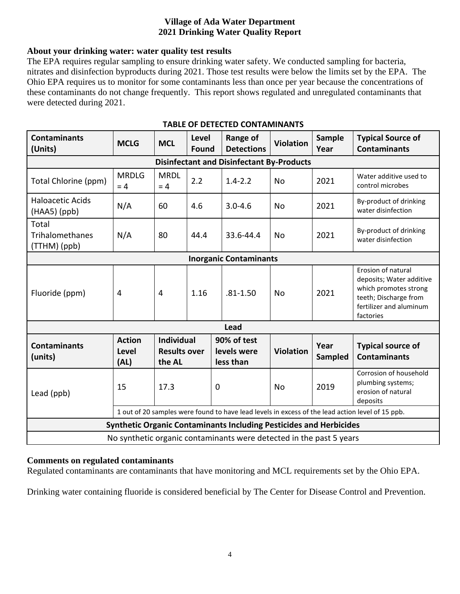## **About your drinking water: water quality test results**

The EPA requires regular sampling to ensure drinking water safety. We conducted sampling for bacteria, nitrates and disinfection byproducts during 2021. Those test results were below the limits set by the EPA. The Ohio EPA requires us to monitor for some contaminants less than once per year because the concentrations of these contaminants do not change frequently. This report shows regulated and unregulated contaminants that were detected during 2021.

| <b>Contaminants</b><br>(Units)                                                                   | <b>MCLG</b>                           | <b>MCL</b>                                         | Level<br><b>Found</b> | <b>Range of</b><br><b>Detections</b>    | <b>Violation</b> | <b>Sample</b><br>Year | <b>Typical Source of</b><br><b>Contaminants</b>                                                                                          |
|--------------------------------------------------------------------------------------------------|---------------------------------------|----------------------------------------------------|-----------------------|-----------------------------------------|------------------|-----------------------|------------------------------------------------------------------------------------------------------------------------------------------|
| <b>Disinfectant and Disinfectant By-Products</b>                                                 |                                       |                                                    |                       |                                         |                  |                       |                                                                                                                                          |
| Total Chlorine (ppm)                                                                             | <b>MRDLG</b><br>$= 4$                 | <b>MRDL</b><br>$= 4$                               | 2.2                   | $1.4 - 2.2$                             | <b>No</b>        | 2021                  | Water additive used to<br>control microbes                                                                                               |
| <b>Haloacetic Acids</b><br>$(HAA5)$ (ppb)                                                        | N/A                                   | 60                                                 | 4.6                   | $3.0 - 4.6$                             | No               | 2021                  | By-product of drinking<br>water disinfection                                                                                             |
| Total<br><b>Trihalomethanes</b><br>(TTHM) (ppb)                                                  | N/A                                   | 80                                                 | 44.4                  | 33.6-44.4                               | <b>No</b>        | 2021                  | By-product of drinking<br>water disinfection                                                                                             |
| <b>Inorganic Contaminants</b>                                                                    |                                       |                                                    |                       |                                         |                  |                       |                                                                                                                                          |
| Fluoride (ppm)                                                                                   | 4                                     | $\overline{4}$                                     | 1.16                  | $.81 - 1.50$                            | <b>No</b>        | 2021                  | Erosion of natural<br>deposits; Water additive<br>which promotes strong<br>teeth; Discharge from<br>fertilizer and aluminum<br>factories |
| Lead                                                                                             |                                       |                                                    |                       |                                         |                  |                       |                                                                                                                                          |
| <b>Contaminants</b><br>(units)                                                                   | <b>Action</b><br><b>Level</b><br>(AL) | <b>Individual</b><br><b>Results over</b><br>the AL |                       | 90% of test<br>levels were<br>less than | <b>Violation</b> | Year<br>Sampled       | <b>Typical source of</b><br><b>Contaminants</b>                                                                                          |
| Lead (ppb)                                                                                       | 15                                    | 17.3                                               |                       | $\mathbf 0$                             | No               | 2019                  | Corrosion of household<br>plumbing systems;<br>erosion of natural<br>deposits                                                            |
| 1 out of 20 samples were found to have lead levels in excess of the lead action level of 15 ppb. |                                       |                                                    |                       |                                         |                  |                       |                                                                                                                                          |
| <b>Synthetic Organic Contaminants Including Pesticides and Herbicides</b>                        |                                       |                                                    |                       |                                         |                  |                       |                                                                                                                                          |
| No synthetic organic contaminants were detected in the past 5 years                              |                                       |                                                    |                       |                                         |                  |                       |                                                                                                                                          |

### **TABLE OF DETECTED CONTAMINANTS**

### **Comments on regulated contaminants**

Regulated contaminants are contaminants that have monitoring and MCL requirements set by the Ohio EPA.

Drinking water containing fluoride is considered beneficial by The Center for Disease Control and Prevention.